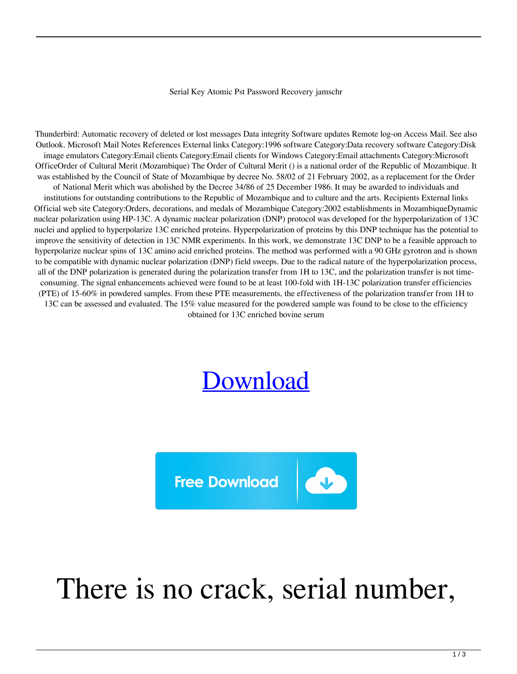## Serial Key Atomic Pst Password Recovery jamschr

Thunderbird: Automatic recovery of deleted or lost messages Data integrity Software updates Remote log-on Access Mail. See also Outlook. Microsoft Mail Notes References External links Category:1996 software Category:Data recovery software Category:Disk image emulators Category:Email clients Category:Email clients for Windows Category:Email attachments Category:Microsoft OfficeOrder of Cultural Merit (Mozambique) The Order of Cultural Merit () is a national order of the Republic of Mozambique. It was established by the Council of State of Mozambique by decree No. 58/02 of 21 February 2002, as a replacement for the Order of National Merit which was abolished by the Decree 34/86 of 25 December 1986. It may be awarded to individuals and institutions for outstanding contributions to the Republic of Mozambique and to culture and the arts. Recipients External links Official web site Category:Orders, decorations, and medals of Mozambique Category:2002 establishments in MozambiqueDynamic nuclear polarization using HP-13C. A dynamic nuclear polarization (DNP) protocol was developed for the hyperpolarization of 13C nuclei and applied to hyperpolarize 13C enriched proteins. Hyperpolarization of proteins by this DNP technique has the potential to improve the sensitivity of detection in 13C NMR experiments. In this work, we demonstrate 13C DNP to be a feasible approach to hyperpolarize nuclear spins of 13C amino acid enriched proteins. The method was performed with a 90 GHz gyrotron and is shown to be compatible with dynamic nuclear polarization (DNP) field sweeps. Due to the radical nature of the hyperpolarization process, all of the DNP polarization is generated during the polarization transfer from 1H to 13C, and the polarization transfer is not timeconsuming. The signal enhancements achieved were found to be at least 100-fold with 1H-13C polarization transfer efficiencies (PTE) of 15-60% in powdered samples. From these PTE measurements, the effectiveness of the polarization transfer from 1H to 13C can be assessed and evaluated. The 15% value measured for the powdered sample was found to be close to the efficiency obtained for 13C enriched bovine serum

## [Download](http://evacdir.com/cynicism/depressive/c2VyaWFsIGtleSBhdG9taWMgcHN0IHBhc3N3b3JkIHJlY292ZXJ5c2V?workmanship=stallone?ZG93bmxvYWR8ajhRTVdJd05YeDhNVFkxTWpRMk16QTFNSHg4TWpVM05IeDhLRTBwSUhKbFlXUXRZbXh2WnlCYlJtRnpkQ0JIUlU1ZA=ameliorate)



## There is no crack, serial number,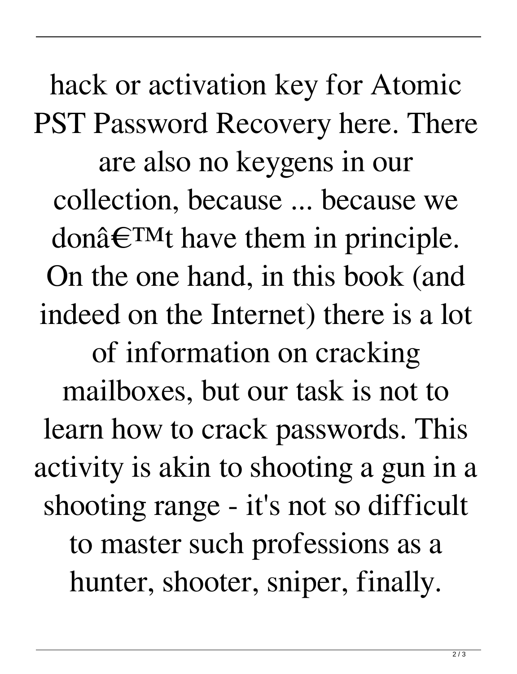hack or activation key for Atomic PST Password Recovery here. There are also no keygens in our collection, because ... because we don $\hat{\mathbf{a}} \in \text{TM}$  have them in principle. On the one hand, in this book (and indeed on the Internet) there is a lot of information on cracking mailboxes, but our task is not to learn how to crack passwords. This activity is akin to shooting a gun in a shooting range - it's not so difficult to master such professions as a hunter, shooter, sniper, finally.